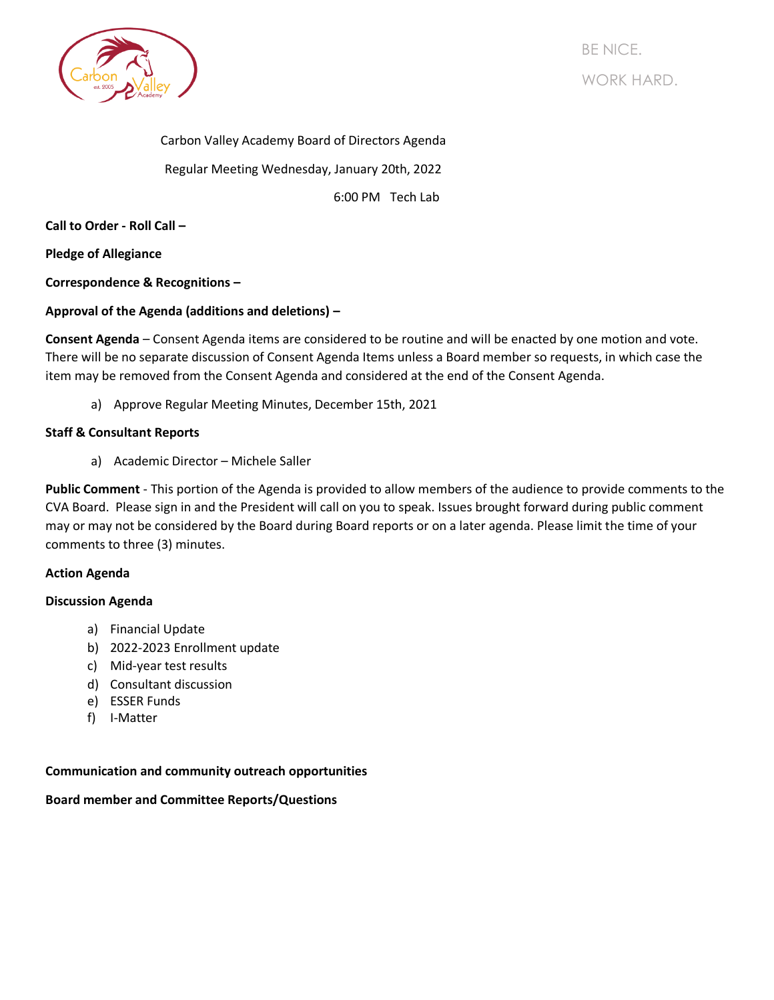

BE NICE. WORK HARD.

Carbon Valley Academy Board of Directors Agenda Regular Meeting Wednesday, January 20th, 2022

6:00 PM Tech Lab

**Call to Order - Roll Call –**

**Pledge of Allegiance**

**Correspondence & Recognitions –**

# **Approval of the Agenda (additions and deletions) –**

**Consent Agenda** – Consent Agenda items are considered to be routine and will be enacted by one motion and vote. There will be no separate discussion of Consent Agenda Items unless a Board member so requests, in which case the item may be removed from the Consent Agenda and considered at the end of the Consent Agenda.

a) Approve Regular Meeting Minutes, December 15th, 2021

## **Staff & Consultant Reports**

a) Academic Director – Michele Saller

**Public Comment** - This portion of the Agenda is provided to allow members of the audience to provide comments to the CVA Board. Please sign in and the President will call on you to speak. Issues brought forward during public comment may or may not be considered by the Board during Board reports or on a later agenda. Please limit the time of your comments to three (3) minutes.

## **Action Agenda**

## **Discussion Agenda**

- a) Financial Update
- b) 2022-2023 Enrollment update
- c) Mid-year test results
- d) Consultant discussion
- e) ESSER Funds
- f) I-Matter

## **Communication and community outreach opportunities**

## **Board member and Committee Reports/Questions**